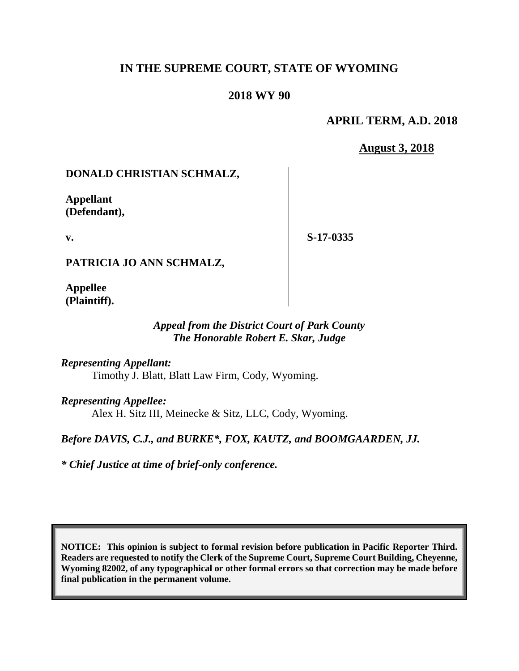# **IN THE SUPREME COURT, STATE OF WYOMING**

### **2018 WY 90**

### **APRIL TERM, A.D. 2018**

**August 3, 2018**

## **DONALD CHRISTIAN SCHMALZ,**

**Appellant (Defendant),**

**v.**

**S-17-0335**

**PATRICIA JO ANN SCHMALZ,**

**Appellee (Plaintiff).**

### *Appeal from the District Court of Park County The Honorable Robert E. Skar, Judge*

*Representing Appellant:* Timothy J. Blatt, Blatt Law Firm, Cody, Wyoming.

*Representing Appellee:* Alex H. Sitz III, Meinecke & Sitz, LLC, Cody, Wyoming.

## *Before DAVIS, C.J., and BURKE\*, FOX, KAUTZ, and BOOMGAARDEN, JJ.*

*\* Chief Justice at time of brief-only conference.*

**NOTICE: This opinion is subject to formal revision before publication in Pacific Reporter Third. Readers are requested to notify the Clerk of the Supreme Court, Supreme Court Building, Cheyenne, Wyoming 82002, of any typographical or other formal errors so that correction may be made before final publication in the permanent volume.**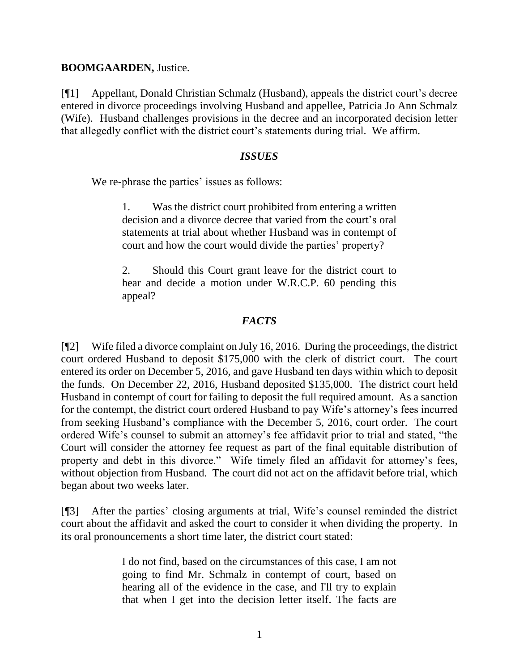#### **BOOMGAARDEN,** Justice.

[¶1] Appellant, Donald Christian Schmalz (Husband), appeals the district court's decree entered in divorce proceedings involving Husband and appellee, Patricia Jo Ann Schmalz (Wife). Husband challenges provisions in the decree and an incorporated decision letter that allegedly conflict with the district court's statements during trial. We affirm.

### *ISSUES*

We re-phrase the parties' issues as follows:

1. Was the district court prohibited from entering a written decision and a divorce decree that varied from the court's oral statements at trial about whether Husband was in contempt of court and how the court would divide the parties' property?

2. Should this Court grant leave for the district court to hear and decide a motion under W.R.C.P. 60 pending this appeal?

# *FACTS*

[¶2] Wife filed a divorce complaint on July 16, 2016. During the proceedings, the district court ordered Husband to deposit \$175,000 with the clerk of district court. The court entered its order on December 5, 2016, and gave Husband ten days within which to deposit the funds. On December 22, 2016, Husband deposited \$135,000. The district court held Husband in contempt of court for failing to deposit the full required amount. As a sanction for the contempt, the district court ordered Husband to pay Wife's attorney's fees incurred from seeking Husband's compliance with the December 5, 2016, court order. The court ordered Wife's counsel to submit an attorney's fee affidavit prior to trial and stated, "the Court will consider the attorney fee request as part of the final equitable distribution of property and debt in this divorce." Wife timely filed an affidavit for attorney's fees, without objection from Husband. The court did not act on the affidavit before trial, which began about two weeks later.

[¶3] After the parties' closing arguments at trial, Wife's counsel reminded the district court about the affidavit and asked the court to consider it when dividing the property. In its oral pronouncements a short time later, the district court stated:

> I do not find, based on the circumstances of this case, I am not going to find Mr. Schmalz in contempt of court, based on hearing all of the evidence in the case, and I'll try to explain that when I get into the decision letter itself. The facts are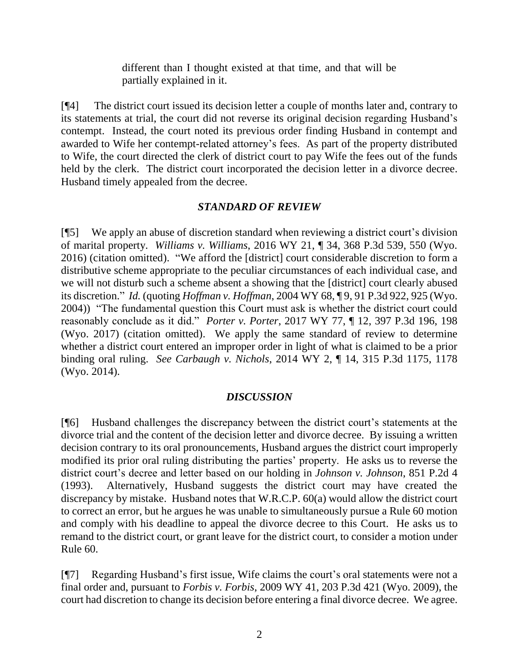different than I thought existed at that time, and that will be partially explained in it.

[¶4] The district court issued its decision letter a couple of months later and, contrary to its statements at trial, the court did not reverse its original decision regarding Husband's contempt. Instead, the court noted its previous order finding Husband in contempt and awarded to Wife her contempt-related attorney's fees. As part of the property distributed to Wife, the court directed the clerk of district court to pay Wife the fees out of the funds held by the clerk. The district court incorporated the decision letter in a divorce decree. Husband timely appealed from the decree.

## *STANDARD OF REVIEW*

[¶5] We apply an abuse of discretion standard when reviewing a district court's division of marital property. *Williams v. Williams*, 2016 WY 21, ¶ 34, 368 P.3d 539, 550 (Wyo. 2016) (citation omitted). "We afford the [district] court considerable discretion to form a distributive scheme appropriate to the peculiar circumstances of each individual case, and we will not disturb such a scheme absent a showing that the [district] court clearly abused its discretion." *Id.* (quoting *Hoffman v. Hoffman*, 2004 WY 68, ¶ 9, 91 P.3d 922, 925 (Wyo. 2004)) "The fundamental question this Court must ask is whether the district court could reasonably conclude as it did." *Porter v. Porter*, 2017 WY 77, ¶ 12, 397 P.3d 196, 198 (Wyo. 2017) (citation omitted). We apply the same standard of review to determine whether a district court entered an improper order in light of what is claimed to be a prior binding oral ruling. *See Carbaugh v. Nichols*, 2014 WY 2, ¶ 14, 315 P.3d 1175, 1178 (Wyo. 2014).

## *DISCUSSION*

[¶6] Husband challenges the discrepancy between the district court's statements at the divorce trial and the content of the decision letter and divorce decree. By issuing a written decision contrary to its oral pronouncements, Husband argues the district court improperly modified its prior oral ruling distributing the parties' property. He asks us to reverse the district court's decree and letter based on our holding in *Johnson v. Johnson*, 851 P.2d 4 (1993). Alternatively, Husband suggests the district court may have created the discrepancy by mistake. Husband notes that W.R.C.P. 60(a) would allow the district court to correct an error, but he argues he was unable to simultaneously pursue a Rule 60 motion and comply with his deadline to appeal the divorce decree to this Court. He asks us to remand to the district court, or grant leave for the district court, to consider a motion under Rule 60.

[¶7] Regarding Husband's first issue, Wife claims the court's oral statements were not a final order and, pursuant to *Forbis v. Forbis*, 2009 WY 41, 203 P.3d 421 (Wyo. 2009), the court had discretion to change its decision before entering a final divorce decree. We agree.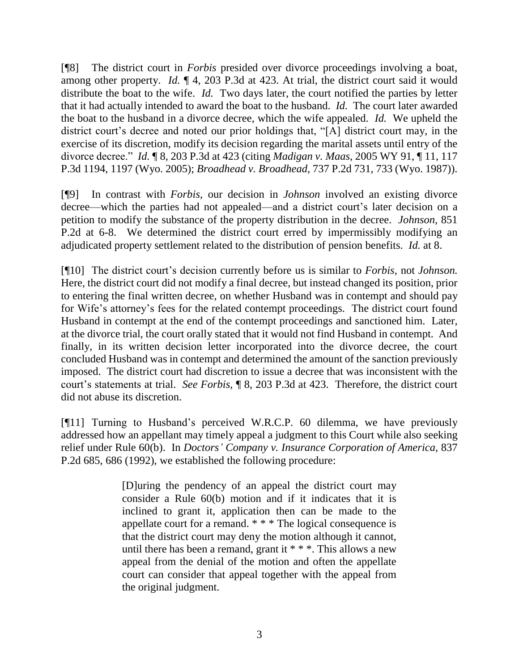[¶8] The district court in *Forbis* presided over divorce proceedings involving a boat, among other property. *Id.* ¶ 4, 203 P.3d at 423. At trial, the district court said it would distribute the boat to the wife. *Id.* Two days later, the court notified the parties by letter that it had actually intended to award the boat to the husband. *Id.* The court later awarded the boat to the husband in a divorce decree, which the wife appealed. *Id.* We upheld the district court's decree and noted our prior holdings that, "[A] district court may, in the exercise of its discretion, modify its decision regarding the marital assets until entry of the divorce decree." *Id.* ¶ 8, 203 P.3d at 423 (citing *Madigan v. Maas*, 2005 WY 91, ¶ 11, 117 P.3d 1194, 1197 (Wyo. 2005); *Broadhead v. Broadhead*, 737 P.2d 731, 733 (Wyo. 1987)).

[¶9] In contrast with *Forbis*, our decision in *Johnson* involved an existing divorce decree—which the parties had not appealed—and a district court's later decision on a petition to modify the substance of the property distribution in the decree. *Johnson*, 851 P.2d at 6-8. We determined the district court erred by impermissibly modifying an adjudicated property settlement related to the distribution of pension benefits. *Id.* at 8.

[¶10] The district court's decision currently before us is similar to *Forbis*, not *Johnson.* Here, the district court did not modify a final decree, but instead changed its position, prior to entering the final written decree, on whether Husband was in contempt and should pay for Wife's attorney's fees for the related contempt proceedings. The district court found Husband in contempt at the end of the contempt proceedings and sanctioned him. Later, at the divorce trial, the court orally stated that it would not find Husband in contempt. And finally, in its written decision letter incorporated into the divorce decree, the court concluded Husband was in contempt and determined the amount of the sanction previously imposed. The district court had discretion to issue a decree that was inconsistent with the court's statements at trial. *See Forbis*, ¶ 8, 203 P.3d at 423. Therefore, the district court did not abuse its discretion.

[¶11] Turning to Husband's perceived W.R.C.P. 60 dilemma, we have previously addressed how an appellant may timely appeal a judgment to this Court while also seeking relief under Rule 60(b). In *Doctors' Company v. Insurance Corporation of America*, 837 P.2d 685, 686 (1992), we established the following procedure:

> [D]uring the pendency of an appeal the district court may consider a Rule 60(b) motion and if it indicates that it is inclined to grant it, application then can be made to the appellate court for a remand. \* \* \* The logical consequence is that the district court may deny the motion although it cannot, until there has been a remand, grant it \* \* \*. This allows a new appeal from the denial of the motion and often the appellate court can consider that appeal together with the appeal from the original judgment.